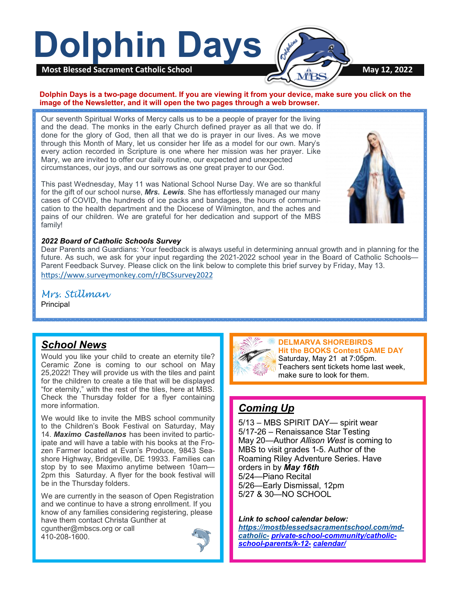

### **Dolphin Days is a two-page document. If you are viewing it from your device, make sure you click on the image of the Newsletter, and it will open the two pages through a web browser.**

Our seventh Spiritual Works of Mercy calls us to be a people of prayer for the living and the dead. The monks in the early Church defined prayer as all that we do. If done for the glory of God, then all that we do is prayer in our lives. As we move through this Month of Mary, let us consider her life as a model for our own. Mary's every action recorded in Scripture is one where her mission was her prayer. Like Mary, we are invited to offer our daily routine, our expected and unexpected circumstances, our joys, and our sorrows as one great prayer to our God.

This past Wednesday, May 11 was National School Nurse Day. We are so thankful for the gift of our school nurse, *Mrs. Lewis*. She has effortlessly managed our many cases of COVID, the hundreds of ice packs and bandages, the hours of communication to the health department and the Diocese of Wilmington, and the aches and pains of our children. We are grateful for her dedication and support of the MBS family!



### *2022 Board of Catholic Schools Survey*

Dear Parents and Guardians: Your feedback is always useful in determining annual growth and in planning for the future. As such, we ask for your input regarding the 2021-2022 school year in the Board of Catholic Schools— Parent Feedback Survey. Please click on the link below to complete this brief survey by Friday, May 13. <https://www.surveymonkey.com/r/BCSsurvey2022>

*Mrs. Stillman* Principal

## *School News*

Would you like your child to create an eternity tile? Ceramic Zone is coming to our school on May 25,2022! They will provide us with the tiles and paint for the children to create a tile that will be displayed "for eternity," with the rest of the tiles, here at MBS. Check the Thursday folder for a flyer containing more information.

We would like to invite the MBS school community to the Children's Book Festival on Saturday, May 14. *Maximo Castellanos* has been invited to participate and will have a table with his books at the Frozen Farmer located at Evan's Produce, 9843 Seashore Highway, Bridgeville, DE 19933. Families can stop by to see Maximo anytime between 10am— 2pm this Saturday. A flyer for the book festival will be in the Thursday folders.

We are currently in the season of Open Registration and we continue to have a strong enrollment. If you know of any families considering registering, please have them contact Christa Gunther at cgunther@mbscs.org or call 410-208-1600.





**DELMARVA SHOREBIRDS Hit the BOOKS Contest GAME DAY** Saturday, May 21 at 7:05pm. Teachers sent tickets home last week, make sure to look for them.

# *Coming Up*

5/13 – MBS SPIRIT DAY— spirit wear 5/17-26 – Renaissance Star Testing May 20—Author *Allison West* is coming to MBS to visit grades 1-5. Author of the Roaming Riley Adventure Series. Have orders in by *May 16th* 5/24—Piano Recital 5/26—Early Dismissal, 12pm 5/27 & 30—NO SCHOOL

*Link to school calendar below: [https://mostblessedsacramentschool.com/md](https://mostblessedsacramentschool.com/md-catholic-)[catholic](https://mostblessedsacramentschool.com/md-catholic-)- private-school-[community/catholic](https://mostblessedsacramentschool.com/md-catholic-private-school-community/catholic-school-parents/k-12-calendar/)school-[parents/k](https://mostblessedsacramentschool.com/md-catholic-private-school-community/catholic-school-parents/k-12-calendar/)-12- [calendar/](https://mostblessedsacramentschool.com/md-catholic-private-school-community/catholic-school-parents/k-12-calendar/)*